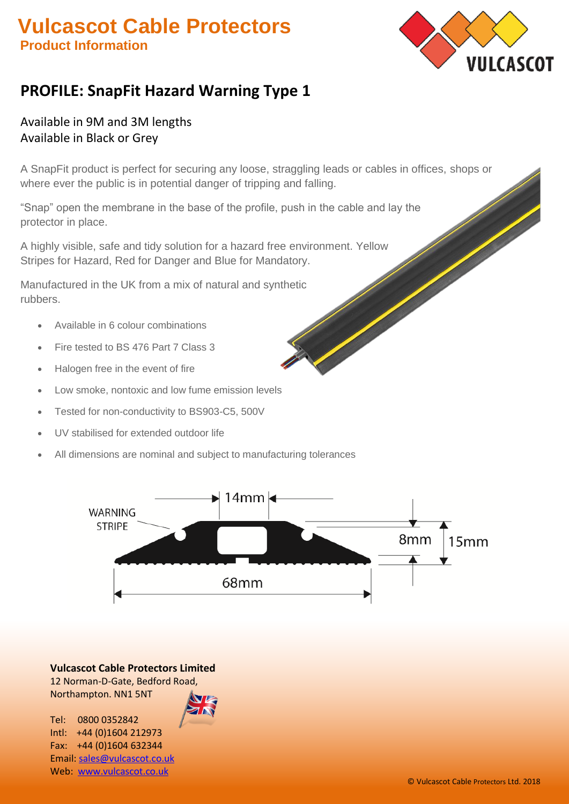# **S Vulcascot Cable Protectors Product Information**



# **PROFILE: SnapFit Hazard Warning Type 1**

### Available in 9M and 3M lengths Available in Black or Grey

A SnapFit product is perfect for securing any loose, straggling leads or cables in offices, shops or where ever the public is in potential danger of tripping and falling.

"Snap" open the membrane in the base of the profile, push in the cable and lay the protector in place.

A highly visible, safe and tidy solution for a hazard free environment. Yellow Stripes for Hazard, Red for Danger and Blue for Mandatory.

Manufactured in the UK from a mix of natural and synthetic rubbers.

- Available in 6 colour combinations
- Fire tested to BS 476 Part 7 Class 3
- Halogen free in the event of fire
- Low smoke, nontoxic and low fume emission levels
- Tested for non-conductivity to BS903-C5, 500V
- UV stabilised for extended outdoor life
- All dimensions are nominal and subject to manufacturing tolerances



**Vulcascot Cable Protectors Limited** 12 Norman-D-Gate, Bedford Road, Northampton. NN1 5NT

Tel: 0800 0352842 Intl: +44 (0)1604 212973 Fax: +44 (0)1604 632344 Email[: sales@vulcascot.co.uk](mailto:sales@vulcascot.co.uk) Web: [www.vulcascot.co.uk](http://www.vulcascot.co.uk/)